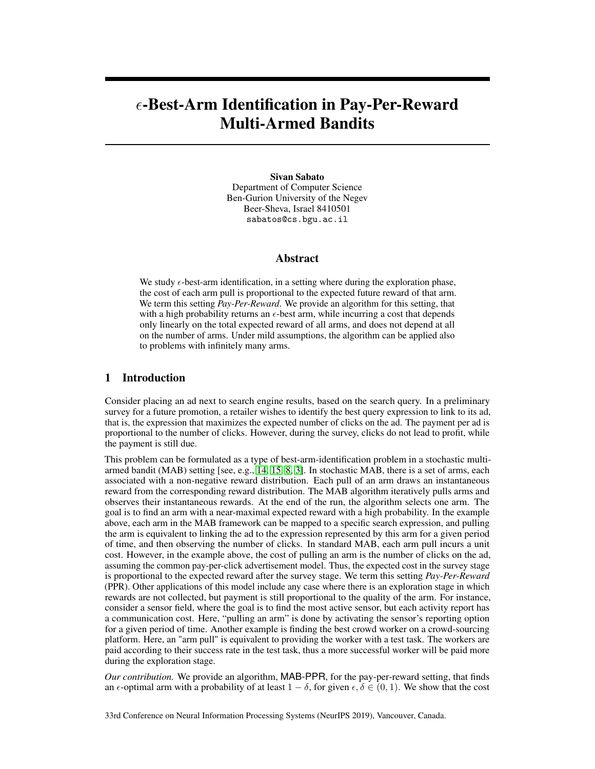# -Best-Arm Identification in Pay-Per-Reward Multi-Armed Bandits

Sivan Sabato Department of Computer Science Ben-Gurion University of the Negev Beer-Sheva, Israel 8410501 sabatos@cs.bgu.ac.il

# Abstract

We study  $\epsilon$ -best-arm identification, in a setting where during the exploration phase, the cost of each arm pull is proportional to the expected future reward of that arm. We term this setting *Pay-Per-Reward*. We provide an algorithm for this setting, that with a high probability returns an  $\epsilon$ -best arm, while incurring a cost that depends only linearly on the total expected reward of all arms, and does not depend at all on the number of arms. Under mild assumptions, the algorithm can be applied also to problems with infinitely many arms.

# 1 Introduction

Consider placing an ad next to search engine results, based on the search query. In a preliminary survey for a future promotion, a retailer wishes to identify the best query expression to link to its ad, that is, the expression that maximizes the expected number of clicks on the ad. The payment per ad is proportional to the number of clicks. However, during the survey, clicks do not lead to profit, while the payment is still due.

This problem can be formulated as a type of best-arm-identification problem in a stochastic multiarmed bandit (MAB) setting [see, e.g., [14,](#page-9-0) [15,](#page-9-1) [8,](#page-8-0) [3\]](#page-8-1). In stochastic MAB, there is a set of arms, each associated with a non-negative reward distribution. Each pull of an arm draws an instantaneous reward from the corresponding reward distribution. The MAB algorithm iteratively pulls arms and observes their instantaneous rewards. At the end of the run, the algorithm selects one arm. The goal is to find an arm with a near-maximal expected reward with a high probability. In the example above, each arm in the MAB framework can be mapped to a specific search expression, and pulling the arm is equivalent to linking the ad to the expression represented by this arm for a given period of time, and then observing the number of clicks. In standard MAB, each arm pull incurs a unit cost. However, in the example above, the cost of pulling an arm is the number of clicks on the ad, assuming the common pay-per-click advertisement model. Thus, the expected cost in the survey stage is proportional to the expected reward after the survey stage. We term this setting *Pay-Per-Reward* (PPR). Other applications of this model include any case where there is an exploration stage in which rewards are not collected, but payment is still proportional to the quality of the arm. For instance, consider a sensor field, where the goal is to find the most active sensor, but each activity report has a communication cost. Here, "pulling an arm" is done by activating the sensor's reporting option for a given period of time. Another example is finding the best crowd worker on a crowd-sourcing platform. Here, an "arm pull" is equivalent to providing the worker with a test task. The workers are paid according to their success rate in the test task, thus a more successful worker will be paid more during the exploration stage.

*Our contribution.* We provide an algorithm, MAB-PPR, for the pay-per-reward setting, that finds an  $\epsilon$ -optimal arm with a probability of at least  $1 - \delta$ , for given  $\epsilon, \delta \in (0, 1)$ . We show that the cost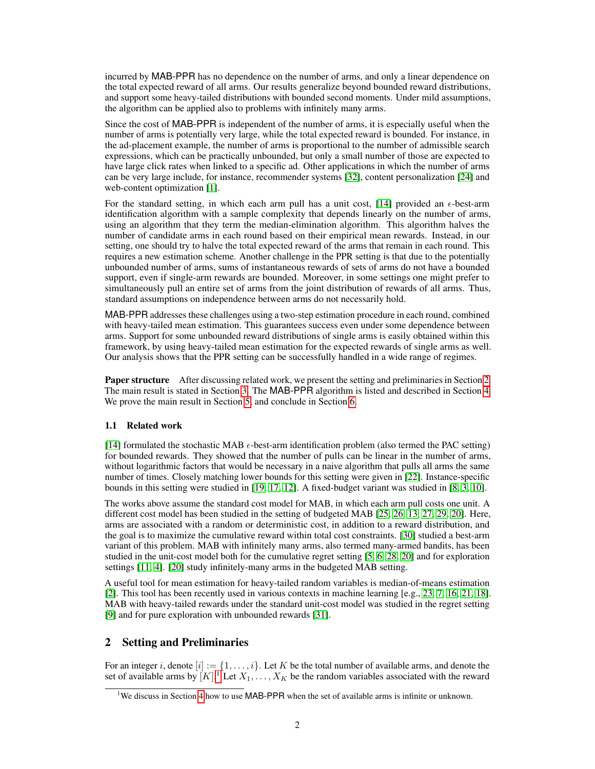incurred by MAB-PPR has no dependence on the number of arms, and only a linear dependence on the total expected reward of all arms. Our results generalize beyond bounded reward distributions, and support some heavy-tailed distributions with bounded second moments. Under mild assumptions, the algorithm can be applied also to problems with infinitely many arms.

Since the cost of MAB-PPR is independent of the number of arms, it is especially useful when the number of arms is potentially very large, while the total expected reward is bounded. For instance, in the ad-placement example, the number of arms is proportional to the number of admissible search expressions, which can be practically unbounded, but only a small number of those are expected to have large click rates when linked to a specific ad. Other applications in which the number of arms can be very large include, for instance, recommender systems [\[32\]](#page-10-0), content personalization [\[24\]](#page-9-2) and web-content optimization [\[1\]](#page-8-2).

For the standard setting, in which each arm pull has a unit cost, [\[14\]](#page-9-0) provided an  $\epsilon$ -best-arm identification algorithm with a sample complexity that depends linearly on the number of arms, using an algorithm that they term the median-elimination algorithm. This algorithm halves the number of candidate arms in each round based on their empirical mean rewards. Instead, in our setting, one should try to halve the total expected reward of the arms that remain in each round. This requires a new estimation scheme. Another challenge in the PPR setting is that due to the potentially unbounded number of arms, sums of instantaneous rewards of sets of arms do not have a bounded support, even if single-arm rewards are bounded. Moreover, in some settings one might prefer to simultaneously pull an entire set of arms from the joint distribution of rewards of all arms. Thus, standard assumptions on independence between arms do not necessarily hold.

MAB-PPR addresses these challenges using a two-step estimation procedure in each round, combined with heavy-tailed mean estimation. This guarantees success even under some dependence between arms. Support for some unbounded reward distributions of single arms is easily obtained within this framework, by using heavy-tailed mean estimation for the expected rewards of single arms as well. Our analysis shows that the PPR setting can be successfully handled in a wide range of regimes.

Paper structure After discussing related work, we present the setting and preliminaries in Section [2.](#page-1-0) The main result is stated in Section [3.](#page-2-0) The MAB-PPR algorithm is listed and described in Section [4.](#page-3-0) We prove the main result in Section [5,](#page-4-0) and conclude in Section [6.](#page-8-3)

## 1.1 Related work

[\[14\]](#page-9-0) formulated the stochastic MAB  $\epsilon$ -best-arm identification problem (also termed the PAC setting) for bounded rewards. They showed that the number of pulls can be linear in the number of arms, without logarithmic factors that would be necessary in a naive algorithm that pulls all arms the same number of times. Closely matching lower bounds for this setting were given in [\[22\]](#page-9-3). Instance-specific bounds in this setting were studied in [\[19,](#page-9-4) [17,](#page-9-5) [12\]](#page-8-4). A fixed-budget variant was studied in [\[8,](#page-8-0) [3,](#page-8-1) [10\]](#page-8-5).

The works above assume the standard cost model for MAB, in which each arm pull costs one unit. A different cost model has been studied in the setting of budgeted MAB [\[25,](#page-9-6) [26,](#page-9-7) [13,](#page-9-8) [27,](#page-9-9) [29,](#page-9-10) [20\]](#page-9-11). Here, arms are associated with a random or deterministic cost, in addition to a reward distribution, and the goal is to maximize the cumulative reward within total cost constraints. [\[30\]](#page-9-12) studied a best-arm variant of this problem. MAB with infinitely many arms, also termed many-armed bandits, has been studied in the unit-cost model both for the cumulative regret setting [\[5,](#page-8-6) [6,](#page-8-7) [28,](#page-9-13) [20\]](#page-9-11) and for exploration settings [\[11,](#page-8-8) [4\]](#page-8-9). [\[20\]](#page-9-11) study infinitely-many arms in the budgeted MAB setting.

A useful tool for mean estimation for heavy-tailed random variables is median-of-means estimation [\[2\]](#page-8-10). This tool has been recently used in various contexts in machine learning [e.g., [23,](#page-9-14) [7,](#page-8-11) [16,](#page-9-15) [21,](#page-9-16) [18\]](#page-9-17). MAB with heavy-tailed rewards under the standard unit-cost model was studied in the regret setting [\[9\]](#page-8-12) and for pure exploration with unbounded rewards [\[31\]](#page-10-1).

# <span id="page-1-0"></span>2 Setting and Preliminaries

For an integer i, denote  $[i] := \{1, \ldots, i\}$ . Let K be the total number of available arms, and denote the set of available arms by  $[K]$ .<sup>[1](#page-1-1)</sup> Let  $X_1, \ldots, X_K$  be the random variables associated with the reward

<span id="page-1-1"></span><sup>&</sup>lt;sup>1</sup>We discuss in Section [4](#page-3-0) how to use MAB-PPR when the set of available arms is infinite or unknown.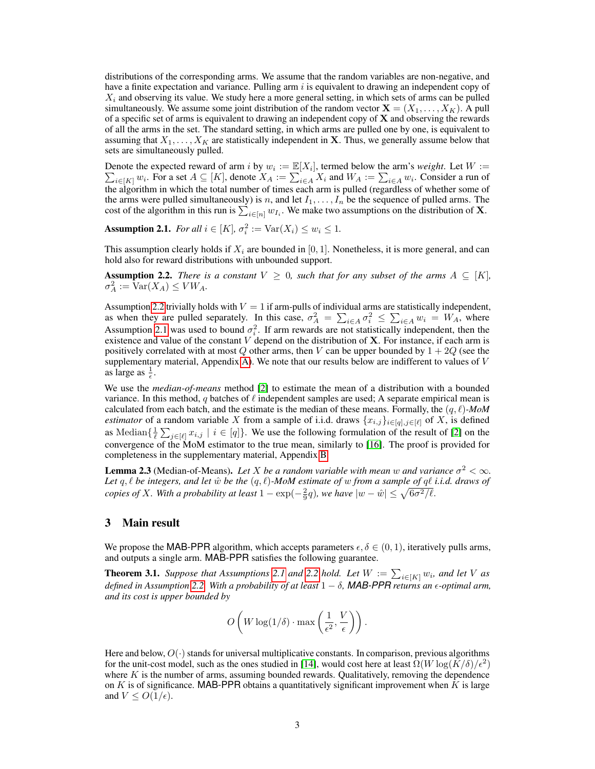distributions of the corresponding arms. We assume that the random variables are non-negative, and have a finite expectation and variance. Pulling arm  $i$  is equivalent to drawing an independent copy of  $X_i$  and observing its value. We study here a more general setting, in which sets of arms can be pulled simultaneously. We assume some joint distribution of the random vector  $X = (X_1, \ldots, X_K)$ . A pull of a specific set of arms is equivalent to drawing an independent copy of  $X$  and observing the rewards of all the arms in the set. The standard setting, in which arms are pulled one by one, is equivalent to assuming that  $X_1, \ldots, X_K$  are statistically independent in **X**. Thus, we generally assume below that sets are simultaneously pulled.

Denote the expected reward of arm *i* by  $w_i := \mathbb{E}[X_i]$ P ], termed below the arm's *weight*. Let  $W :=$  $i \in [K]} w_i$ . For a set  $A \subseteq [K]$ , denote  $X_A := \sum_{i \in A} X_i$  and  $W_A := \sum_{i \in A} w_i$ . Consider a run of the algorithm in which the total number of times each arm is pulled (regardless of whether some of the arms were pulled simultaneously) is n, and let  $I_1, \ldots, I_n$  be the sequence of pulled arms. The cost of the algorithm in this run is  $\sum_{i \in [n]} w_{I_i}$ . We make two assumptions on the distribution of **X**.

<span id="page-2-2"></span>**Assumption 2.1.** *For all*  $i \in [K]$ ,  $\sigma_i^2 := \text{Var}(X_i) \leq w_i \leq 1$ .

This assumption clearly holds if  $X_i$  are bounded in [0, 1]. Nonetheless, it is more general, and can hold also for reward distributions with unbounded support.

<span id="page-2-1"></span>**Assumption 2.2.** *There is a constant*  $V \geq 0$ *, such that for any subset of the arms*  $A \subseteq [K]$ *,*  $\sigma_A^2 := \text{Var}(X_A) \leq VW_A.$ 

Assumption [2.2](#page-2-1) trivially holds with  $V = 1$  if arm-pulls of individual arms are statistically independent, as when they are pulled separately. In this case,  $\sigma_A^2 = \sum_{i \in A} \sigma_i^2 \leq \sum_{i \in A} w_i = W_A$ , where Assumption [2.1](#page-2-2) was used to bound  $\sigma_i^2$ . If arm rewards are not statistically independent, then the existence and value of the constant  $V$  depend on the distribution of  $X$ . For instance, if each arm is positively correlated with at most  $Q$  other arms, then V can be upper bounded by  $1 + 2Q$  (see the supplementary material, Appendix [A\)](#page--1-0). We note that our results below are indifferent to values of  $V$ as large as  $\frac{1}{\epsilon}$ .

We use the *median-of-means* method [\[2\]](#page-8-10) to estimate the mean of a distribution with a bounded variance. In this method, q batches of  $\ell$  independent samples are used; A separate empirical mean is calculated from each batch, and the estimate is the median of these means. Formally, the  $(q, \ell)$ -MoM *estimator* of a random variable X from a sample of i.i.d. draws  $\{x_{i,j}\}_{i \in [q], j \in [\ell]}$  of X, is defined as Median $\{\frac{1}{\ell}\sum_{j\in[\ell]}x_{i,j}\,|\,i\in[q]\}.$  We use the following formulation of the result of [\[2\]](#page-8-10) on the convergence of the MoM estimator to the true mean, similarly to [\[16\]](#page-9-15). The proof is provided for completeness in the supplementary material, Appendix [B.](#page--1-1)

<span id="page-2-4"></span>**Lemma 2.3** (Median-of-Means). Let X be a random variable with mean w and variance  $\sigma^2 < \infty$ . *Let*  $q, \ell$  *be integers, and let*  $\hat{w}$  *be the*  $(q, \ell)$ *-MoM estimate of*  $w$  *from a sample of*  $q\ell$  *i.i.d. draws of copies of X*. With a probability at least  $1 - \exp(-\frac{2}{9}q)$ , we have  $|w - \hat{w}| \le \sqrt{6\sigma^2/\ell}$ .

## <span id="page-2-0"></span>3 Main result

We propose the MAB-PPR algorithm, which accepts parameters  $\epsilon, \delta \in (0, 1)$ , iteratively pulls arms, and outputs a single arm. MAB-PPR satisfies the following guarantee.

<span id="page-2-3"></span>**Theorem 3.1.** *Suppose that Assumptions* [2.1](#page-2-2) *and* [2.2](#page-2-1) *hold.* Let  $W := \sum_{i \in [K]} w_i$ , and let V as *defined in Assumption [2.2.](#page-2-1) With a probability of at least* 1 − δ*, MAB-PPR returns an -optimal arm, and its cost is upper bounded by*

$$
O\left(W\log(1/\delta)\cdot \max\left(\frac{1}{\epsilon^2},\frac{V}{\epsilon}\right)\right).
$$

Here and below,  $O(\cdot)$  stands for universal multiplicative constants. In comparison, previous algorithms for the unit-cost model, such as the ones studied in [\[14\]](#page-9-0), would cost here at least  $\Omega(W \log(K/\delta)/\epsilon^2)$ where  $K$  is the number of arms, assuming bounded rewards. Qualitatively, removing the dependence on  $K$  is of significance. MAB-PPR obtains a quantitatively significant improvement when  $K$  is large and  $V \leq O(1/\epsilon)$ .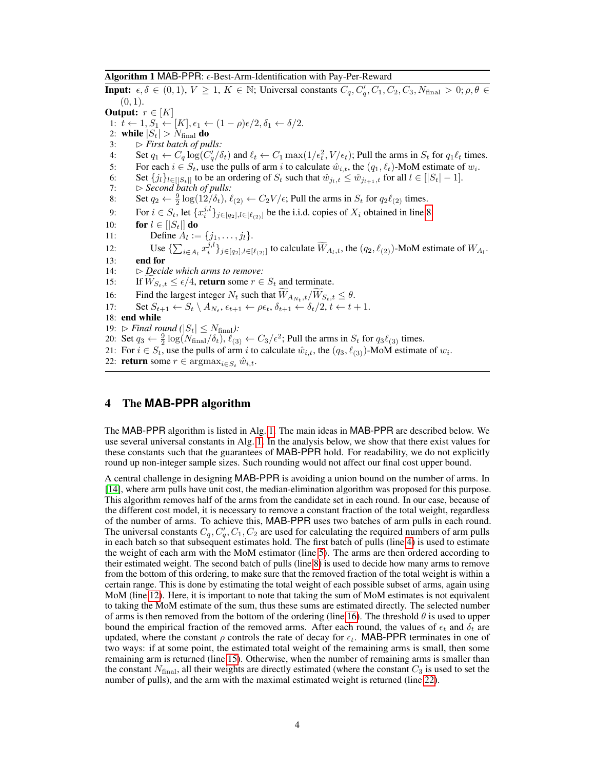#### Algorithm 1 MAB-PPR:  $\epsilon$ -Best-Arm-Identification with Pay-Per-Reward

<span id="page-3-1"></span>**Input:**  $\epsilon, \delta \in (0, 1), V \ge 1, K \in \mathbb{N}$ ; Universal constants  $C_q, C'_q, C_1, C_2, C_3, N_{\text{final}} > 0; \rho, \theta \in$  $(0, 1)$ . Output:  $r \in [K]$ 1:  $t \leftarrow 1, S_1 \leftarrow [K], \epsilon_1 \leftarrow (1 - \rho)\epsilon/2, \delta_1 \leftarrow \delta/2.$ 2: while  $|S_t| > N_{\text{final}}$  do 3:  $\triangleright$  *First batch of pulls:* 4: Set  $q_1 \leftarrow C_q \log(C'_q / \delta_t)$  and  $\ell_t \leftarrow C_1 \max(1/\epsilon_t^2, V/\epsilon_t)$ ; Pull the arms in  $S_t$  for  $q_1 \ell_t$  times. 5: For each  $i \in S_t$ , use the pulls of arm i to calculate  $\hat{w}_{i,t}$ , the  $(q_1, \ell_t)$ -MoM estimate of  $w_i$ . 6: Set  $\{j_l\}_{l \in [S_t]}$  to be an ordering of  $S_t$  such that  $\hat{w}_{j_l,t} \leq \hat{w}_{j_{l+1},t}$  for all  $l \in [S_t] - 1$ . 7:  $\Rightarrow$  *Second batch of pulls:* 8: Set  $q_2 \leftarrow \frac{9}{2} \log(12/\delta_t)$ ,  $\ell_{(2)} \leftarrow C_2 V / \epsilon$ ; Pull the arms in  $S_t$  for  $q_2 \ell_{(2)}$  times. 9: For  $i \in S_t$ , let  $\{x_i^{j,l}\}_{j \in [q_2], l \in [\ell_{(2)}]}$  be the i.i.d. copies of  $X_i$  obtained in line [8.](#page-3-1) 10: **for**  $l \in |S_t|$  **do** 11: Define  $A_l := \{j_1, \ldots, j_l\}.$ 12: Use  $\{\sum_{i\in A_l} x_i^{j,l}\}_{j\in[q_2],l\in[\ell_{(2)}]}$  to calculate  $\widetilde{W}_{A_l,t}$ , the  $(q_2,\ell_{(2)})$ -MoM estimate of  $W_{A_l}$ . 13: end for 14: B *Decide which arms to remove:* 15: If  $W_{S_t,t} \leq \epsilon/4$ , return some  $r \in S_t$  and terminate.<br>16: Find the largest integer  $N_t$  such that  $\widetilde{W}_{A_N-t}/\widetilde{W}_{S_t-t}$ 16: Find the largest integer  $N_t$  such that  $W_{A_{N_t},t}/W_{S_t,t} \leq \theta$ . 17: Set  $S_{t+1} \leftarrow S_t \setminus A_{N_t}, \epsilon_{t+1} \leftarrow \rho \epsilon_t, \delta_{t+1} \leftarrow \delta_t/2, t \leftarrow t+1.$ 18: end while 19:  $\triangleright$  *Final round* ( $|S_t| \leq N_{\text{final}}$ *)*: 20: Set  $q_3 \leftarrow \frac{9}{2} \log(N_{\text{final}}/\delta_t)$ ,  $\ell_{(3)} \leftarrow C_3/\epsilon^2$ ; Pull the arms in  $S_t$  for  $q_3 \ell_{(3)}$  times. 21: For  $i \in S_t$ , use the pulls of arm i to calculate  $\hat{w}_{i,t}$ , the  $(q_3, \ell_{(3)})$ -MoM estimate of  $w_i$ . 22: **return** some  $r \in \operatorname{argmax}_{i \in S_t} \hat{w}_{i,t}$ .

# <span id="page-3-0"></span>4 The **MAB-PPR** algorithm

The MAB-PPR algorithm is listed in Alg. [1.](#page-3-1) The main ideas in MAB-PPR are described below. We use several universal constants in Alg. [1.](#page-3-1) In the analysis below, we show that there exist values for these constants such that the guarantees of MAB-PPR hold. For readability, we do not explicitly round up non-integer sample sizes. Such rounding would not affect our final cost upper bound.

A central challenge in designing MAB-PPR is avoiding a union bound on the number of arms. In [\[14\]](#page-9-0), where arm pulls have unit cost, the median-elimination algorithm was proposed for this purpose. This algorithm removes half of the arms from the candidate set in each round. In our case, because of the different cost model, it is necessary to remove a constant fraction of the total weight, regardless of the number of arms. To achieve this, MAB-PPR uses two batches of arm pulls in each round. The universal constants  $C_q$ ,  $C'_q$ ,  $C_1$ ,  $C_2$  are used for calculating the required numbers of arm pulls in each batch so that subsequent estimates hold. The first batch of pulls (line [4\)](#page-3-1) is used to estimate the weight of each arm with the MoM estimator (line [5\)](#page-3-1). The arms are then ordered according to their estimated weight. The second batch of pulls (line [8\)](#page-3-1) is used to decide how many arms to remove from the bottom of this ordering, to make sure that the removed fraction of the total weight is within a certain range. This is done by estimating the total weight of each possible subset of arms, again using MoM (line [12\)](#page-3-1). Here, it is important to note that taking the sum of MoM estimates is not equivalent to taking the MoM estimate of the sum, thus these sums are estimated directly. The selected number of arms is then removed from the bottom of the ordering (line [16\)](#page-3-1). The threshold  $\theta$  is used to upper bound the empirical fraction of the removed arms. After each round, the values of  $\epsilon_t$  and  $\delta_t$  are updated, where the constant  $\rho$  controls the rate of decay for  $\epsilon_t$ . MAB-PPR terminates in one of two ways: if at some point, the estimated total weight of the remaining arms is small, then some remaining arm is returned (line [15\)](#page-3-1). Otherwise, when the number of remaining arms is smaller than the constant  $N_{\text{final}}$ , all their weights are directly estimated (where the constant  $C_3$  is used to set the number of pulls), and the arm with the maximal estimated weight is returned (line [22\)](#page-3-1).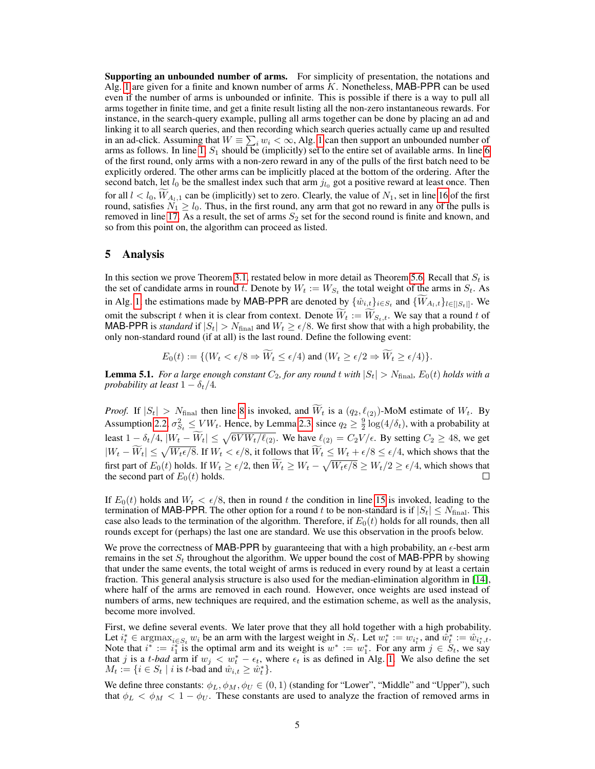Supporting an unbounded number of arms. For simplicity of presentation, the notations and Alg. [1](#page-3-1) are given for a finite and known number of arms  $K$ . Nonetheless, MAB-PPR can be used even if the number of arms is unbounded or infinite. This is possible if there is a way to pull all arms together in finite time, and get a finite result listing all the non-zero instantaneous rewards. For instance, in the search-query example, pulling all arms together can be done by placing an ad and linking it to all search queries, and then recording which search queries actually came up and resulted in an ad-click. Assuming that  $W \equiv \sum_i w_i < \infty$ , Alg. [1](#page-3-1) can then support an unbounded number of arms as follows. In line [1,](#page-3-1)  $S_1$  should be (implicitly) set to the entire set of available arms. In line [6](#page-3-1) of the first round, only arms with a non-zero reward in any of the pulls of the first batch need to be explicitly ordered. The other arms can be implicitly placed at the bottom of the ordering. After the second batch, let  $l_0$  be the smallest index such that arm  $j_{l_0}$  got a positive reward at least once. Then for all  $l < l_0$ ,  $W_{A_l,1}$  can be (implicitly) set to zero. Clearly, the value of  $N_1$ , set in line [16](#page-3-1) of the first round, satisfies  $N_1 \geq l_0$ . Thus, in the first round, any arm that got no reward in any of the pulls is removed in line [17.](#page-3-1) As a result, the set of arms  $S_2$  set for the second round is finite and known, and so from this point on, the algorithm can proceed as listed.

#### <span id="page-4-0"></span>5 Analysis

In this section we prove Theorem [3.1,](#page-2-3) restated below in more detail as Theorem [5.6.](#page-5-0) Recall that  $S_t$  is the set of candidate arms in round t. Denote by  $W_t := W_{S_t}$  the total weight of the arms in  $S_t$ . As in Alg. [1,](#page-3-1) the estimations made by MAB-PPR are denoted by  $\{\hat{w}_{i,t}\}_{i \in S_t}$  and  $\{W_{A_l,t}\}_{l \in [|S_t|]}$ . We omit the subscript t when it is clear from context. Denote  $\overline{W}_t := \overline{W}_{S_t,t}$ . We say that a round t of MAB-PPR is *standard* if  $|S_t| > N_{\text{final}}$  and  $W_t \ge \epsilon/8$ . We first show that with a high probability, the only non-standard round (if at all) is the last round. Define the following event:

$$
E_0(t) := \{ (W_t < \epsilon/8 \Rightarrow W_t \le \epsilon/4) \text{ and } (W_t \ge \epsilon/2 \Rightarrow W_t \ge \epsilon/4) \}.
$$

<span id="page-4-1"></span>**Lemma 5.1.** For a large enough constant  $C_2$ , for any round t with  $|S_t| > N_{final}$ ,  $E_0(t)$  holds with a *probability at least*  $1 - \delta_t/4$ *.* 

*Proof.* If  $|S_t| > N_{\text{final}}$  then line [8](#page-3-1) is invoked, and  $\widetilde{W}_t$  is a  $(q_2, \ell_{(2)})$ -MoM estimate of  $W_t$ . By Assumption [2.2,](#page-2-1)  $\sigma_{S_t}^2 \leq VW_t$ . Hence, by Lemma [2.3,](#page-2-4) since  $q_2 \geq \frac{9}{2} \log(4/\delta_t)$ , with a probability at least  $1 - \delta_t/4$ ,  $|W_t - W_t| \le \sqrt{6V W_t/\ell_{(2)}}$ . We have  $\ell_{(2)} = C_2 V/\epsilon$ . By setting  $C_2 \ge 48$ , we get  $|W_t - \tilde{W}_t| \le \sqrt{W_t \epsilon/8}$ . If  $W_t < \epsilon/8$ , it follows that  $\tilde{W}_t \le W_t + \epsilon/8 \le \epsilon/4$ , which shows that the first part of  $E_0(t)$  holds. If  $W_t \ge \epsilon/2$ , then  $W_t \ge W_t - \sqrt{W_t \epsilon/8} \ge W_t/2 \ge \epsilon/4$ , which shows that the second part of  $E_0(t)$  holds.

If  $E_0(t)$  holds and  $W_t < \epsilon/8$ , then in round t the condition in line [15](#page-3-1) is invoked, leading to the termination of MAB-PPR. The other option for a round t to be non-standard is if  $|S_t| \le N_{\text{final}}$ . This case also leads to the termination of the algorithm. Therefore, if  $E_0(t)$  holds for all rounds, then all rounds except for (perhaps) the last one are standard. We use this observation in the proofs below.

We prove the correctness of MAB-PPR by guaranteeing that with a high probability, an  $\epsilon$ -best arm remains in the set  $S_t$  throughout the algorithm. We upper bound the cost of MAB-PPR by showing that under the same events, the total weight of arms is reduced in every round by at least a certain fraction. This general analysis structure is also used for the median-elimination algorithm in [\[14\]](#page-9-0), where half of the arms are removed in each round. However, once weights are used instead of numbers of arms, new techniques are required, and the estimation scheme, as well as the analysis, become more involved.

First, we define several events. We later prove that they all hold together with a high probability. Let  $i_t^* \in \text{argmax}_{i \in S_t} w_i$  be an arm with the largest weight in  $S_t$ . Let  $w_t^* := w_{i_t^*}$ , and  $\hat{w}_t^* := \hat{w}_{i_t^*, t}$ . Note that  $i^* := i_1^*$  is the optimal arm and its weight is  $w^* := w_1^*$ . For any arm  $j \in S_t$ , we say that j is a t-bad arm if  $w_j < w_t^* - \epsilon_t$ , where  $\epsilon_t$  is as defined in Alg. [1.](#page-3-1) We also define the set  $M_t := \{i \in S_t \mid i \text{ is } t\text{-bad} \text{ and } \hat{w}_{i,t} \ge \hat{w}_t^*\}.$ 

We define three constants:  $\phi_L, \phi_M, \phi_U \in (0, 1)$  (standing for "Lower", "Middle" and "Upper"), such that  $\phi_L < \phi_M < 1 - \phi_U$ . These constants are used to analyze the fraction of removed arms in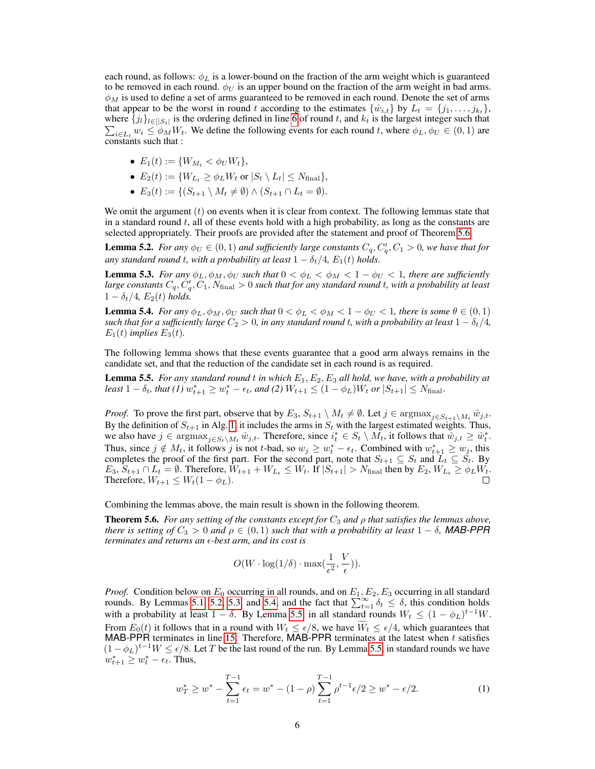each round, as follows:  $\phi_L$  is a lower-bound on the fraction of the arm weight which is guaranteed to be removed in each round.  $\phi_U$  is an upper bound on the fraction of the arm weight in bad arms.  $\phi_M$  is used to define a set of arms guaranteed to be removed in each round. Denote the set of arms that appear to be the worst in round t according to the estimates  $\{\hat{w}_{i,t}\}\$  by  $L_t = \{j_1, \ldots, j_{k_t}\}\$ , where  $\{j_l\}_{l \in [S_t]}$  is the ordering defined in line [6](#page-3-1) of round t, and  $k_t$  is the largest integer such that  $\sum_{i \in L_t} w_i \le \phi_M W_t$ . We define the following events for each round t, where  $\phi_L, \phi_U \in (0, 1)$  are constants such that :

- $E_1(t) := \{W_{M_t} < \phi_U W_t\},\,$
- $E_2(t) := \{W_{L_t} \ge \phi_L W_t \text{ or } |S_t \setminus L_t| \le N_{\text{final}}\},\$
- $E_3(t) := \{ (S_{t+1} \setminus M_t \neq \emptyset) \wedge (S_{t+1} \cap L_t = \emptyset).$

We omit the argument  $(t)$  on events when it is clear from context. The following lemmas state that in a standard round  $t$ , all of these events hold with a high probability, as long as the constants are selected appropriately. Their proofs are provided after the statement and proof of Theorem [5.6.](#page-5-0)

<span id="page-5-1"></span>**Lemma 5.2.** *For any*  $\phi_U \in (0,1)$  *and sufficiently large constants*  $C_q$ ,  $C'_q$ ,  $C_1 > 0$ *, we have that for any standard round t, with a probability at least*  $1 - \delta_t/4$ ,  $E_1(t)$  *holds.* 

<span id="page-5-2"></span>**Lemma 5.3.** *For any*  $\phi_L$ ,  $\phi_M$ ,  $\phi_U$  *such that*  $0 < \phi_L < \phi_M < 1 - \phi_U < 1$ *, there are sufficiently* large constants  $C_q, C'_q, C_1, N_{\text{final}} > 0$  such that for any standard round  $t$ , with a probability at least  $1 - \delta_t/4$ ,  $E_2(t)$  *holds.* 

<span id="page-5-3"></span>**Lemma 5.4.** *For any*  $\phi_L$ ,  $\phi_M$ ,  $\phi_U$  *such that*  $0 < \phi_L < \phi_M < 1 - \phi_U < 1$ , *there is some*  $\theta \in (0,1)$ *such that for a sufficiently large*  $C_2 > 0$ , in any standard round t, with a probability at least  $1 - \delta_t/4$ ,  $E_1(t)$  *implies*  $E_3(t)$ *.* 

The following lemma shows that these events guarantee that a good arm always remains in the candidate set, and that the reduction of the candidate set in each round is as required.

<span id="page-5-4"></span>Lemma 5.5. *For any standard round* t *in which* E1, E2, E<sup>3</sup> *all hold, we have, with a probability at*  $\textit{least } 1 - \delta_t, \textit{that } (1) \ w^*_{t+1} \geq w^*_t - \epsilon_t, \textit{and } (2) \ W_{t+1} \leq (1 - \phi_L) W_t \textit{ or } |S_{t+1}| \leq N_{\text{final}}.$ 

*Proof.* To prove the first part, observe that by  $E_3$ ,  $S_{t+1} \setminus M_t \neq \emptyset$ . Let  $j \in \text{argmax}_{j \in S_{t+1} \setminus M_t} \hat{w}_{j,t}$ . By the definition of  $S_{t+1}$  in Alg. [1,](#page-3-1) it includes the arms in  $S_t$  with the largest estimated weights. Thus, we also have  $j \in \text{argmax}_{j \in S_t \setminus M_t} \hat{w}_{j,t}$ . Therefore, since  $i_t^* \in S_t \setminus M_t$ , it follows that  $\hat{w}_{j,t} \ge \hat{w}_t^*$ . Thus, since  $j \notin M_t$ , it follows j is not t-bad, so  $w_j \ge w_t^* - \epsilon_t$ . Combined with  $w_{t+1}^* \ge w_j$ , this completes the proof of the first part. For the second part, note that  $S_{t+1} \subseteq S_t$  and  $L_t \subseteq S_t$ . By  $E_3, S_{t+1} \cap L_t = \emptyset$ . Therefore,  $W_{t+1} + W_{L_t} \leq W_t$ . If  $|S_{t+1}| > N_{\text{final}}$  then by  $E_2, W_{L_t} \geq \phi_L W_t$ . Therefore,  $W_{t+1} \leq W_t(1 - \phi_L)$ .

Combining the lemmas above, the main result is shown in the following theorem.

<span id="page-5-0"></span>**Theorem 5.6.** *For any setting of the constants except for*  $C_3$  *and*  $\rho$  *that satisfies the lemmas above, there is setting of*  $C_3 > 0$  *and*  $\rho \in (0,1)$  *such that with a probability at least*  $1 - \delta$ *, MAB-PPR terminates and returns an -best arm, and its cost is*

$$
O(W \cdot \log(1/\delta) \cdot \max(\frac{1}{\epsilon^2}, \frac{V}{\epsilon})).
$$

*Proof.* Condition below on  $E_0$  occurring in all rounds, and on  $E_1, E_2, E_3$  occurring in all standard rounds. By Lemmas [5.1,](#page-4-1) [5.2,](#page-5-1) [5.3,](#page-5-2) and [5.4,](#page-5-3) and the fact that  $\sum_{t=1}^{\infty} \delta_t \leq \delta$ , this condition holds with a probability at least  $1 - \delta$ . By Lemma [5.5,](#page-5-4) in all standard rounds  $W_t \leq (1 - \phi_L)^{t-1}W$ . From  $E_0(t)$  it follows that in a round with  $W_t \leq \epsilon/8$ , we have  $W_t \leq \epsilon/4$ , which guarantees that MAB-PPR terminates in line [15.](#page-3-1) Therefore, MAB-PPR terminates at the latest when t satisfies  $(1 - \phi_L)^{t-1}W \le \epsilon/8$ . Let T be the last round of the run. By Lemma [5.5,](#page-5-4) in standard rounds we have  $w_{t+1}^* \geq w_t^* - \epsilon_t$ . Thus,

<span id="page-5-5"></span>
$$
w_T^* \ge w^* - \sum_{t=1}^{T-1} \epsilon_t = w^* - (1 - \rho) \sum_{t=1}^{T-1} \rho^{t-1} \epsilon / 2 \ge w^* - \epsilon / 2. \tag{1}
$$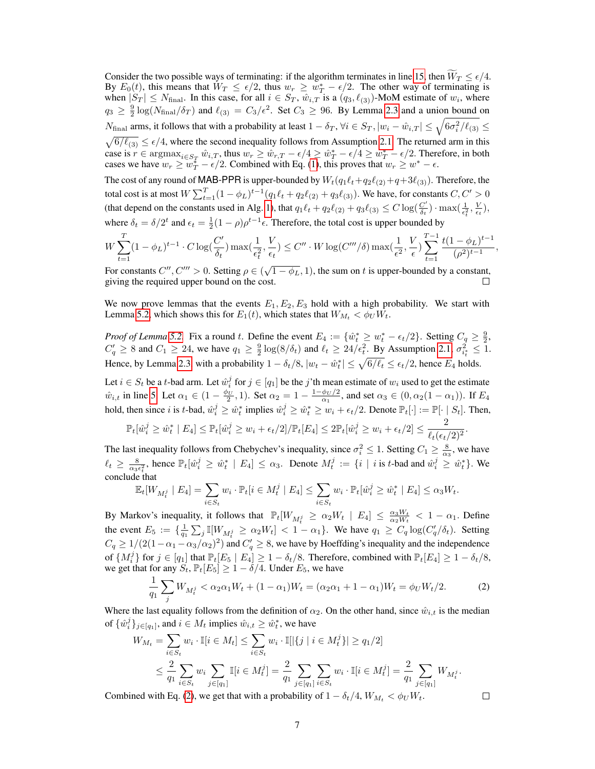Consider the two possible ways of terminating: if the algorithm terminates in line [15,](#page-3-1) then  $W_T \le \epsilon/4$ .<br>By  $E_0(t)$ , this means that  $W_T \le \epsilon/2$ , thus  $w_T \ge w_T^* - \epsilon/2$ . The other way of terminating is when  $|S_T| \le N_{\text{final}}$ . In this case, for all  $i \in S_T$ ,  $\hat{w}_{i,T}$  is a  $(q_3, \ell_{(3)})$ -MoM estimate of  $w_i$ , where  $q_3 \ge \frac{9}{2} \log(N_{\text{final}}/\delta_T)$  and  $\ell_{(3)} = C_3/\epsilon^2$ . Set  $C_3 \ge 96$ . By Lemma [2.3](#page-2-4) and a union bound on  $N_{\text{final}}$  arms, it follows that with a probability at least  $1-\delta_T$ ,  $\forall i \in S_T, |w_i - \hat{w}_{i,T}| \leq \sqrt{6\sigma_i^2/\ell_{(3)}} \leq$  $\sqrt{6/\ell_{(3)}} \le \epsilon/4$ , where the second inequality follows from Assumption [2.1.](#page-2-2) The returned arm in this case is  $r \in \text{argmax}_{i \in S_T}$   $\hat{w}_{i,T}$ , thus  $w_r \ge \hat{w}_{r,T} - \epsilon/4 \ge \hat{w}_T^* - \epsilon/4 \ge w_T^* - \epsilon/2$ . Therefore, in both cases we have  $w_r \ge w_T^* - \epsilon/2$ . Combined with Eq. [\(1\)](#page-5-5), this proves that  $w_r \ge w^* - \epsilon$ .

The cost of any round of MAB-PPR is upper-bounded by  $W_t(q_1\ell_t+q_2\ell_{(2)}+q+3\ell_{(3)})$ . Therefore, the total cost is at most  $W \sum_{t=1}^{T} (1 - \phi_L)^{t-1} (q_1 \ell_t + q_2 \ell_{(2)} + q_3 \ell_{(3)})$ . We have, for constants  $C, C' > 0$ (that depend on the constants used in Alg. [1\)](#page-3-1), that  $q_1\ell_t + q_2\ell_{(2)} + q_3\ell_{(3)} \leq C \log(\frac{C'}{\delta_t})$  $\frac{C'}{\delta_t}$ ) · max $\left(\frac{1}{\epsilon_t^2}, \frac{V}{\epsilon_t}\right)$ , where  $\delta_t = \delta/2^t$  and  $\epsilon_t = \frac{1}{2}(1-\rho)\rho^{t-1}\epsilon$ . Therefore, the total cost is upper bounded by

$$
W\sum_{t=1}^T (1-\phi_L)^{t-1} \cdot C \log(\frac{C'}{\delta_t}) \max(\frac{1}{\epsilon_t^2},\frac{V}{\epsilon_t}) \le C'' \cdot W \log(C'''\delta) \max(\frac{1}{\epsilon^2},\frac{V}{\epsilon}) \sum_{t=1}^{T-1} \frac{t(1-\phi_L)^{t-1}}{(\rho^2)^{t-1}},
$$

For constants  $C''$ ,  $C''' > 0$ . Setting  $\rho \in (\sqrt{1 - \phi_L}, 1)$ , the sum on t is upper-bounded by a constant, giving the required upper bound on the cost.

We now prove lemmas that the events  $E_1, E_2, E_3$  hold with a high probability. We start with Lemma [5.2,](#page-5-1) which shows this for  $E_1(t)$ , which states that  $W_{M_t} < \phi_U W_t$ .

*Proof of Lemma* [5.2.](#page-5-1) Fix a round t. Define the event  $E_4 := \{ \hat{w}_t^* \ge w_t^* - \epsilon_t/2 \}$ . Setting  $C_q \ge \frac{9}{2}$ ,  $C'_q \ge 8$  and  $C_1 \ge 24$ , we have  $q_1 \ge \frac{9}{2} \log(8/\delta_t)$  and  $\ell_t \ge 24/\epsilon_t^2$ . By Assumption [2.1,](#page-2-2)  $\sigma_{i_t}^2 \le 1$ . Hence, by Lemma [2.3,](#page-2-4) with a probability  $1 - \delta_t/8$ ,  $|w_t - \hat{w}_t^*| \le \sqrt{6/\ell_t} \le \epsilon_t/2$ , hence  $E_4$  holds.

Let  $i \in S_t$  be a t-bad arm. Let  $\hat{w}_i^j$  for  $j \in [q_1]$  be the j'th mean estimate of  $w_i$  used to get the estimate  $\hat{w}_{i,t}$  in line [5.](#page-3-1) Let  $\alpha_1 \in (1 - \frac{\phi_U}{2}, 1)$ . Set  $\alpha_2 = 1 - \frac{1 - \phi_U/2}{\alpha_1}$  $\frac{\varphi_{U}/2}{\alpha_1}$ , and set  $\alpha_3 \in (0, \alpha_2(1-\alpha_1))$ . If  $E_4$ hold, then since i is t-bad,  $\hat{w}_i^j \ge \hat{w}_t^*$  implies  $\hat{w}_i^j \ge \hat{w}_t^* \ge w_i + \epsilon_t/2$ . Denote  $\mathbb{P}_t[\cdot] := \mathbb{P}[\cdot \mid S_t]$ . Then,

$$
\mathbb{P}_t[\hat{w}_i^j \ge \hat{w}_t^* \mid E_4] \le \mathbb{P}_t[\hat{w}_i^j \ge w_i + \epsilon_t/2] / \mathbb{P}_t[E_4] \le 2\mathbb{P}_t[\hat{w}_i^j \ge w_i + \epsilon_t/2] \le \frac{2}{\ell_t(\epsilon_t/2)^2}.
$$

The last inequality follows from Chebychev's inequality, since  $\sigma_i^2 \leq 1$ . Setting  $C_1 \geq \frac{8}{\alpha_3}$ , we have  $\ell_t \ge \frac{8}{\alpha_3 \epsilon_t^2}$ , hence  $\mathbb{P}_t[\hat{w}_i^j \ge \hat{w}_t^* \mid E_4] \le \alpha_3$ . Denote  $M_t^j := \{i \mid i \text{ is } t\text{-bad and } \hat{w}_i^j \ge \hat{w}_t^*\}$ . We conclude that

$$
\mathbb{E}_{t}[W_{M_{t}^{j}} \mid E_{4}] = \sum_{i \in S_{t}} w_{i} \cdot \mathbb{P}_{t}[i \in M_{t}^{j} \mid E_{4}] \leq \sum_{i \in S_{t}} w_{i} \cdot \mathbb{P}_{t}[\hat{w}_{i}^{j} \geq \hat{w}_{t}^{*} \mid E_{4}] \leq \alpha_{3}W_{t}.
$$

By Markov's inequality, it follows that  $\mathbb{P}_t[W_{M_t^j} \ge \alpha_2 W_t | E_4] \le \frac{\alpha_3 W_t}{\alpha_2 W_t} < 1 - \alpha_1$ . Define the event  $E_5 := \{\frac{1}{q_1} \sum_j \mathbb{I}[W_{M_t^j} \ge \alpha_2 W_t] < 1 - \alpha_1\}$ . We have  $q_1 \ge C_q \log(C'_q / \delta_t)$ . Setting  $C_q \ge 1/(2(1-\alpha_1-\alpha_3/\alpha_2)^2)$  and  $C_q' \ge 8$ , we have by Hoeffding's inequality and the independence of  $\{M_i^j\}$  for  $j \in [q_1]$  that  $\mathbb{P}_t[E_5 | E_4] \geq 1 - \delta_t/8$ . Therefore, combined with  $\mathbb{P}_t[E_4] \geq 1 - \delta_t/8$ , we get that for any  $S_t$ ,  $\mathbb{P}_t[E_5] \geq 1 - \delta/4$ . Under  $E_5$ , we have

<span id="page-6-0"></span>
$$
\frac{1}{q_1} \sum_j W_{M_t^j} < \alpha_2 \alpha_1 W_t + (1 - \alpha_1) W_t = (\alpha_2 \alpha_1 + 1 - \alpha_1) W_t = \phi_U W_t / 2. \tag{2}
$$

Where the last equality follows from the definition of  $\alpha_2$ . On the other hand, since  $\hat{w}_{i,t}$  is the median of  $\{\hat{w}_i^j\}_{j \in [q_1]}$ , and  $i \in M_t$  implies  $\hat{w}_{i,t} \ge \hat{w}_t^*$ , we have

$$
W_{M_t} = \sum_{i \in S_t} w_i \cdot \mathbb{I}[i \in M_t] \le \sum_{i \in S_t} w_i \cdot \mathbb{I}[|\{j \mid i \in M_t^j\}] \ge q_1/2]
$$
  

$$
\le \frac{2}{q_1} \sum_{i \in S_t} w_i \sum_{j \in [q_1]} \mathbb{I}[i \in M_t^j] = \frac{2}{q_1} \sum_{j \in [q_1]} \sum_{i \in S_t} w_i \cdot \mathbb{I}[i \in M_t^j] = \frac{2}{q_1} \sum_{j \in [q_1]} W_{M_t^j}.
$$

Combined with Eq. [\(2\)](#page-6-0), we get that with a probability of  $1 - \delta_t/4$ ,  $W_{M_t} < \phi_U W_t$ .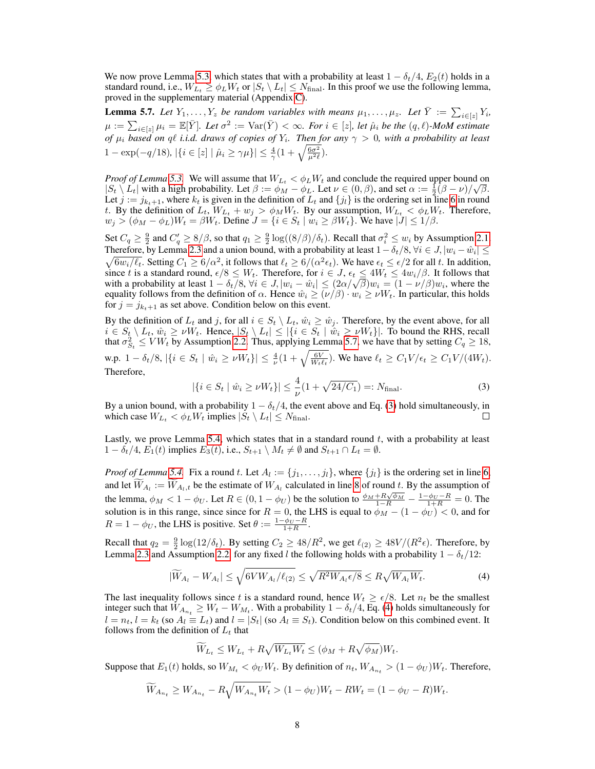We now prove Lemma [5.3,](#page-5-2) which states that with a probability at least  $1 - \delta_t/4$ ,  $E_2(t)$  holds in a standard round, i.e.,  $W_{L_t} \ge \phi_L W_t$  or  $|S_t \setminus L_t| \le N_{\text{final}}$ . In this proof we use the following lemma, proved in the supplementary material (Appendix [C\)](#page--1-2).

<span id="page-7-0"></span>**Lemma 5.7.** Let  $Y_1, \ldots, Y_z$  be random variables with means  $\mu_1, \ldots, \mu_z$ . Let  $\overline{Y} := \sum_{i \in [z]} Y_i$ ,  $\mu := \sum_{i \in [z]} \mu_i = \mathbb{E}[\bar{Y}]$ *. Let*  $\sigma^2 := \text{Var}(\bar{Y}) < \infty$ *. For*  $i \in [z]$ *, let*  $\hat{\mu}_i$  *be the*  $(q, \ell)$ *-MoM estimate of*  $\mu_i$  *based on ql i.i.d. draws of copies of*  $Y_i$ *. Then for any*  $\gamma > 0$ *, with a probability at least* 1 – exp(-q/18),  $|\{i \in [z] | \hat{\mu}_i \ge \gamma \mu\}| \le \frac{4}{\gamma} (1 + \sqrt{\frac{6\sigma^2}{\mu^2 \ell}})$ .

*Proof of Lemma* [5.3.](#page-5-2) We will assume that  $W_{L_t} < \phi_L W_t$  and conclude the required upper bound on  $|S_t \setminus L_t|$  with a high probability. Let  $\beta := \phi_M - \phi_L$ . Let  $\nu \in (0, \beta)$ , and set  $\alpha := \frac{1}{2}(\beta - \nu)/\sqrt{\beta}$ . Let  $j := j_{k_t+1}$ , where  $k_t$  is given in the definition of  $L_t$  and  $\{j_l\}$  is the ordering set in line [6](#page-3-1) in round t. By the definition of  $L_t$ ,  $W_{L_t} + w_j > \phi_M W_t$ . By our assumption,  $W_{L_t} < \phi_L W_t$ . Therefore,  $w_j > (\phi_M - \phi_L)W_t = \beta W_t$ . Define  $J = \{i \in S_t \mid w_i \ge \beta W_t\}$ . We have  $|J| \le 1/\beta$ .

Set  $C_q \ge \frac{9}{2}$  and  $C'_q \ge 8/\beta$ , so that  $q_1 \ge \frac{9}{2} \log((8/\beta)/\delta_t)$ . Recall that  $\sigma_i^2 \le w_i$  by Assumption [2.1.](#page-2-2) Therefore, by Lemma [2.3](#page-2-4) and a union bound, with a probability at least  $1-\delta_t/8$ ,  $\forall i \in J, |w_i - \hat{w}_i| \leq$  $\sqrt{6w_i/\ell_t}$ . Setting  $C_1 \ge 6/\alpha^2$ , it follows that  $\ell_t \ge 6/(\alpha^2 \epsilon_t)$ . We have  $\epsilon_t \le \epsilon/2$  for all t. In addition, since t is a standard round,  $\epsilon/8 \leq W_t$ . Therefore, for  $i \in J$ ,  $\epsilon_t \leq 4W_t \leq 4w_i/\beta$ . It follows that since t is a standard round,  $\epsilon/8 \leq W_t$ . Therefore, for  $i \in J$ ,  $\epsilon_t \leq 4W_t \leq 4W_i/\beta$ . It follows that with a probability at least  $1 - \delta_t/8$ ,  $\forall i \in J$ ,  $|w_i - \hat{w}_i| \leq (2\alpha/\sqrt{\beta})w_i = (1 - \nu/\beta)w_i$ , where the equality follows from the definition of  $\alpha$ . Hence  $\hat{w}_i \ge (\nu/\beta) \cdot w_i \ge \nu W_t$ . In particular, this holds for  $j = j_{k+1}$  as set above. Condition below on this event.

By the definition of  $L_t$  and j, for all  $i \in S_t \setminus L_t$ ,  $\hat{w}_i \ge \hat{w}_j$ . Therefore, by the event above, for all  $i \in S_t \setminus L_t$ ,  $\hat{w}_i \ge \nu W_t$ . Hence,  $|S_t \setminus L_t| \le |\{i \in S_t \mid \hat{w}_i \ge \nu W_t\}|$ . To bound the RHS, recall that  $\sigma_{S_t}^2 \leq VW_t$  by Assumption [2.2.](#page-2-1) Thus, applying Lemma [5.7,](#page-7-0) we have that by setting  $C_q \geq 18$ , w.p.  $1 - \delta_t/8$ ,  $|\{i \in S_t | \hat{w}_i \ge \nu W_t\}| \le \frac{4}{\nu} (1 + \sqrt{\frac{6V}{W_t \ell_t}})$ . We have  $\ell_t \ge C_1 V/\epsilon_t \ge C_1 V/(4W_t)$ . Therefore,

<span id="page-7-1"></span>
$$
|\{i \in S_t \mid \hat{w}_i \ge \nu W_t\}| \le \frac{4}{\nu} (1 + \sqrt{24/C_1}) =: N_{\text{final}}.
$$
 (3)

By a union bound, with a probability  $1 - \delta_t/4$ , the event above and Eq. [\(3\)](#page-7-1) hold simultaneously, in which case  $W_{L_t} < \phi_L W_t$  implies  $|S_t \setminus L_t| \leq N_{\text{final}}$ . П

Lastly, we prove Lemma [5.4,](#page-5-3) which states that in a standard round  $t$ , with a probability at least  $1 - \delta_t/4$ ,  $E_1(t)$  implies  $E_3(t)$ , i.e.,  $S_{t+1} \setminus M_t \neq \emptyset$  and  $S_{t+1} \cap L_t = \emptyset$ .

*Proof of Lemma* [5.4.](#page-5-3) Fix a round t. Let  $A_l := \{j_1, \ldots, j_l\}$ , where  $\{j_l\}$  is the ordering set in line [6,](#page-3-1) and let  $W_{A_l} := W_{A_l,t}$  be the estimate of  $W_{A_l}$  calculated in line [8](#page-3-1) of round t. By the assumption of the lemma,  $\phi_M < 1 - \phi_U$ . Let  $R \in (0, 1 - \phi_U)$  be the solution to  $\frac{\phi_M + R\sqrt{\phi_M}}{1 - R} - \frac{1 - \phi_U - R}{1 + R} = 0$ . The solution is in this range, since since for  $R = 0$ , the LHS is equal to  $\phi_M - (1 - \phi_U) < 0$ , and for  $R = 1 - \phi_U$ , the LHS is positive. Set  $\theta := \frac{1 - \phi_U - R}{1 + R}$ .

Recall that  $q_2 = \frac{9}{2} \log(12/\delta_t)$ . By setting  $C_2 \ge 48/R^2$ , we get  $\ell_{(2)} \ge 48V/(R^2\epsilon)$ . Therefore, by Lemma [2.3](#page-2-4) and Assumption [2.2,](#page-2-1) for any fixed l the following holds with a probability  $1 - \delta_t/12$ :

$$
|\widetilde{W}_{A_l} - W_{A_l}| \le \sqrt{6V W_{A_l}/\ell_{(2)}} \le \sqrt{R^2 W_{A_l} \epsilon/8} \le R\sqrt{W_{A_l} W_t}.
$$
\n(4)

The last inequality follows since t is a standard round, hence  $W_t \ge \epsilon/8$ . Let  $n_t$  be the smallest integer such that  $W_{A_{n_t}} \ge W_t - W_{M_t}$ . With a probability  $1 - \delta_t/4$ , Eq. [\(4\)](#page-7-2) holds simultaneously for  $l = n_t$ ,  $l = k_t$  (so  $A_l \equiv L_t$ ) and  $l = |S_t|$  (so  $A_l \equiv S_t$ ). Condition below on this combined event. It follows from the definition of  $L_t$  that

<span id="page-7-2"></span>
$$
\widetilde{W}_{L_t} \leq W_{L_t} + R\sqrt{W_{L_t}W_t} \leq (\phi_M + R\sqrt{\phi_M})W_t.
$$

Suppose that  $E_1(t)$  holds, so  $W_{M_t} < \phi_U W_t$ . By definition of  $n_t$ ,  $W_{A_{n_t}} > (1 - \phi_U)W_t$ . Therefore,

$$
\widetilde{W}_{A_{n_t}} \ge W_{A_{n_t}} - R \sqrt{W_{A_{n_t}} W_t} > (1 - \phi_U) W_t - R W_t = (1 - \phi_U - R) W_t.
$$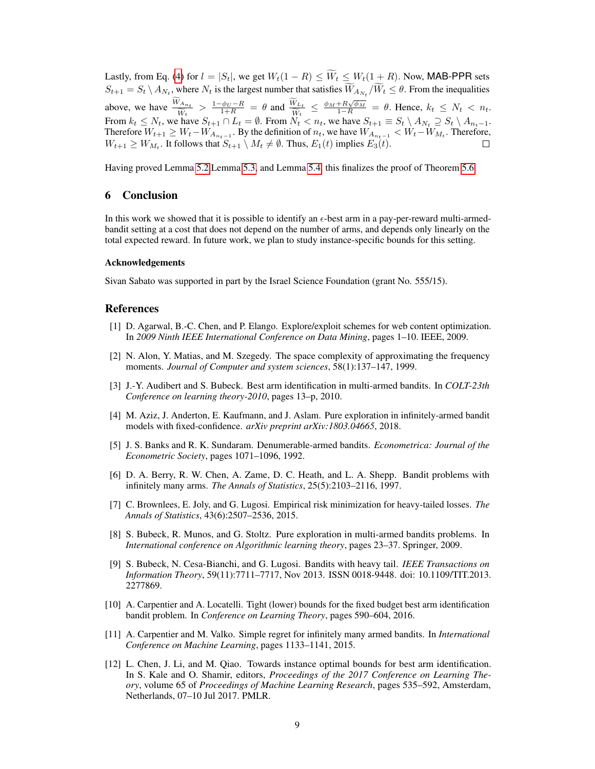Lastly, from Eq. [\(4\)](#page-7-2) for  $l = |S_t|$ , we get  $W_t(1 - R) \le \widetilde{W}_t \le W_t(1 + R)$ . Now, MAB-PPR sets  $S_{t+1} = S_t \setminus A_{N_t}$ , where  $N_t$  is the largest number that satisfies  $W_{A_{N_t}}/W_t \leq \theta$ . From the inequalities above, we have  $\frac{\widetilde{W}_{A_{n_t}}}{\widetilde{W}_t} > \frac{1-\phi_U - R}{1+R} = \theta$  and  $\frac{\widetilde{W}_{L_t}}{\widetilde{W}_t} \le \frac{\phi_M + R\sqrt{\phi_M}}{1-R} = \theta$ . Hence,  $k_t \le N_t < n_t$ . From  $k_t \le N_t$ , we have  $S_{t+1} \cap L_t = \emptyset$ . From  $N_t < n_t$ , we have  $S_{t+1} \equiv S_t \setminus A_{N_t} \supseteq S_t \setminus A_{n_t-1}$ . Therefore  $W_{t+1} \geq W_t - W_{A_{n_t-1}}$ . By the definition of  $n_t$ , we have  $W_{A_{n_t-1}} < W_t - W_{M_t}$ . Therefore,  $W_{t+1} \ge W_{M_t}$ . It follows that  $S_{t+1} \setminus M_t \ne \emptyset$ . Thus,  $E_1(t)$  implies  $E_3(t)$ .

Having proved Lemma [5.2,](#page-5-1)Lemma [5.3,](#page-5-2) and Lemma [5.4,](#page-5-3) this finalizes the proof of Theorem [5.6.](#page-5-0)

# <span id="page-8-3"></span>6 Conclusion

In this work we showed that it is possible to identify an  $\epsilon$ -best arm in a pay-per-reward multi-armedbandit setting at a cost that does not depend on the number of arms, and depends only linearly on the total expected reward. In future work, we plan to study instance-specific bounds for this setting.

#### Acknowledgements

Sivan Sabato was supported in part by the Israel Science Foundation (grant No. 555/15).

## References

- <span id="page-8-2"></span>[1] D. Agarwal, B.-C. Chen, and P. Elango. Explore/exploit schemes for web content optimization. In *2009 Ninth IEEE International Conference on Data Mining*, pages 1–10. IEEE, 2009.
- <span id="page-8-10"></span>[2] N. Alon, Y. Matias, and M. Szegedy. The space complexity of approximating the frequency moments. *Journal of Computer and system sciences*, 58(1):137–147, 1999.
- <span id="page-8-1"></span>[3] J.-Y. Audibert and S. Bubeck. Best arm identification in multi-armed bandits. In *COLT-23th Conference on learning theory-2010*, pages 13–p, 2010.
- <span id="page-8-9"></span>[4] M. Aziz, J. Anderton, E. Kaufmann, and J. Aslam. Pure exploration in infinitely-armed bandit models with fixed-confidence. *arXiv preprint arXiv:1803.04665*, 2018.
- <span id="page-8-6"></span>[5] J. S. Banks and R. K. Sundaram. Denumerable-armed bandits. *Econometrica: Journal of the Econometric Society*, pages 1071–1096, 1992.
- <span id="page-8-7"></span>[6] D. A. Berry, R. W. Chen, A. Zame, D. C. Heath, and L. A. Shepp. Bandit problems with infinitely many arms. *The Annals of Statistics*, 25(5):2103–2116, 1997.
- <span id="page-8-11"></span>[7] C. Brownlees, E. Joly, and G. Lugosi. Empirical risk minimization for heavy-tailed losses. *The Annals of Statistics*, 43(6):2507–2536, 2015.
- <span id="page-8-0"></span>[8] S. Bubeck, R. Munos, and G. Stoltz. Pure exploration in multi-armed bandits problems. In *International conference on Algorithmic learning theory*, pages 23–37. Springer, 2009.
- <span id="page-8-12"></span>[9] S. Bubeck, N. Cesa-Bianchi, and G. Lugosi. Bandits with heavy tail. *IEEE Transactions on Information Theory*, 59(11):7711–7717, Nov 2013. ISSN 0018-9448. doi: 10.1109/TIT.2013. 2277869.
- <span id="page-8-5"></span>[10] A. Carpentier and A. Locatelli. Tight (lower) bounds for the fixed budget best arm identification bandit problem. In *Conference on Learning Theory*, pages 590–604, 2016.
- <span id="page-8-8"></span>[11] A. Carpentier and M. Valko. Simple regret for infinitely many armed bandits. In *International Conference on Machine Learning*, pages 1133–1141, 2015.
- <span id="page-8-4"></span>[12] L. Chen, J. Li, and M. Qiao. Towards instance optimal bounds for best arm identification. In S. Kale and O. Shamir, editors, *Proceedings of the 2017 Conference on Learning Theory*, volume 65 of *Proceedings of Machine Learning Research*, pages 535–592, Amsterdam, Netherlands, 07–10 Jul 2017. PMLR.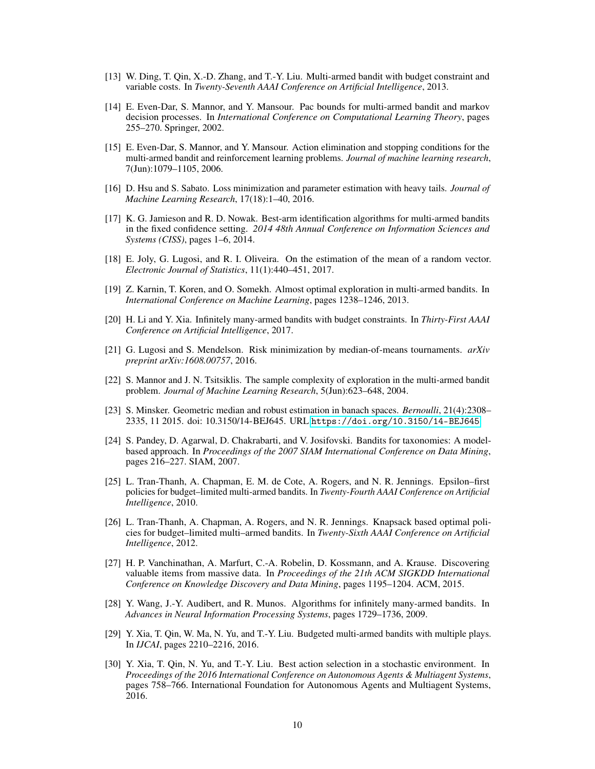- <span id="page-9-8"></span>[13] W. Ding, T. Qin, X.-D. Zhang, and T.-Y. Liu. Multi-armed bandit with budget constraint and variable costs. In *Twenty-Seventh AAAI Conference on Artificial Intelligence*, 2013.
- <span id="page-9-0"></span>[14] E. Even-Dar, S. Mannor, and Y. Mansour. Pac bounds for multi-armed bandit and markov decision processes. In *International Conference on Computational Learning Theory*, pages 255–270. Springer, 2002.
- <span id="page-9-1"></span>[15] E. Even-Dar, S. Mannor, and Y. Mansour. Action elimination and stopping conditions for the multi-armed bandit and reinforcement learning problems. *Journal of machine learning research*, 7(Jun):1079–1105, 2006.
- <span id="page-9-15"></span>[16] D. Hsu and S. Sabato. Loss minimization and parameter estimation with heavy tails. *Journal of Machine Learning Research*, 17(18):1–40, 2016.
- <span id="page-9-5"></span>[17] K. G. Jamieson and R. D. Nowak. Best-arm identification algorithms for multi-armed bandits in the fixed confidence setting. *2014 48th Annual Conference on Information Sciences and Systems (CISS)*, pages 1–6, 2014.
- <span id="page-9-17"></span>[18] E. Joly, G. Lugosi, and R. I. Oliveira. On the estimation of the mean of a random vector. *Electronic Journal of Statistics*, 11(1):440–451, 2017.
- <span id="page-9-4"></span>[19] Z. Karnin, T. Koren, and O. Somekh. Almost optimal exploration in multi-armed bandits. In *International Conference on Machine Learning*, pages 1238–1246, 2013.
- <span id="page-9-11"></span>[20] H. Li and Y. Xia. Infinitely many-armed bandits with budget constraints. In *Thirty-First AAAI Conference on Artificial Intelligence*, 2017.
- <span id="page-9-16"></span>[21] G. Lugosi and S. Mendelson. Risk minimization by median-of-means tournaments. *arXiv preprint arXiv:1608.00757*, 2016.
- <span id="page-9-3"></span>[22] S. Mannor and J. N. Tsitsiklis. The sample complexity of exploration in the multi-armed bandit problem. *Journal of Machine Learning Research*, 5(Jun):623–648, 2004.
- <span id="page-9-14"></span>[23] S. Minsker. Geometric median and robust estimation in banach spaces. *Bernoulli*, 21(4):2308– 2335, 11 2015. doi: 10.3150/14-BEJ645. URL <https://doi.org/10.3150/14-BEJ645>.
- <span id="page-9-2"></span>[24] S. Pandey, D. Agarwal, D. Chakrabarti, and V. Josifovski. Bandits for taxonomies: A modelbased approach. In *Proceedings of the 2007 SIAM International Conference on Data Mining*, pages 216–227. SIAM, 2007.
- <span id="page-9-6"></span>[25] L. Tran-Thanh, A. Chapman, E. M. de Cote, A. Rogers, and N. R. Jennings. Epsilon–first policies for budget–limited multi-armed bandits. In *Twenty-Fourth AAAI Conference on Artificial Intelligence*, 2010.
- <span id="page-9-7"></span>[26] L. Tran-Thanh, A. Chapman, A. Rogers, and N. R. Jennings. Knapsack based optimal policies for budget–limited multi–armed bandits. In *Twenty-Sixth AAAI Conference on Artificial Intelligence*, 2012.
- <span id="page-9-9"></span>[27] H. P. Vanchinathan, A. Marfurt, C.-A. Robelin, D. Kossmann, and A. Krause. Discovering valuable items from massive data. In *Proceedings of the 21th ACM SIGKDD International Conference on Knowledge Discovery and Data Mining*, pages 1195–1204. ACM, 2015.
- <span id="page-9-13"></span>[28] Y. Wang, J.-Y. Audibert, and R. Munos. Algorithms for infinitely many-armed bandits. In *Advances in Neural Information Processing Systems*, pages 1729–1736, 2009.
- <span id="page-9-10"></span>[29] Y. Xia, T. Qin, W. Ma, N. Yu, and T.-Y. Liu. Budgeted multi-armed bandits with multiple plays. In *IJCAI*, pages 2210–2216, 2016.
- <span id="page-9-12"></span>[30] Y. Xia, T. Qin, N. Yu, and T.-Y. Liu. Best action selection in a stochastic environment. In *Proceedings of the 2016 International Conference on Autonomous Agents & Multiagent Systems*, pages 758–766. International Foundation for Autonomous Agents and Multiagent Systems, 2016.